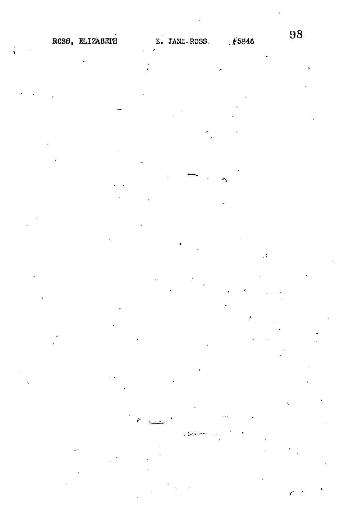

 $\mathbb{R}$ 

 $\hat{\mathcal{A}}$ 

**9 8**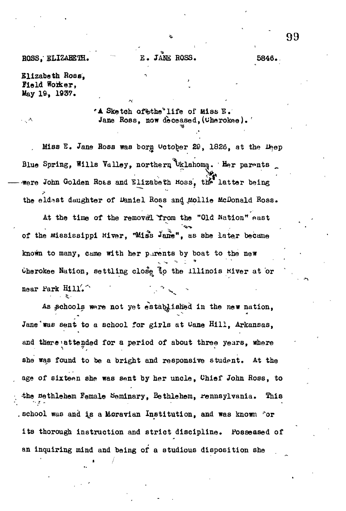ROSS, ELIZABETH. E. JANE ROSS. 5846.

Elizabeth Boss, Field Woiker, May 19, 1937.

. A

 $^*$ A Sketch af $\texttt{with}$  and  $\texttt{if}$  and  $\texttt{if}$ Jane Ross, now deceased, (Cherokee).

Miss E. Jane Ross was borg Uctober 29, 1826, at the Deep Blue Spring, Wills Valley, northern Uklahoma. 'Her parents were John Golden Roas and Elizabeth Moss, the latter being the eldest daughter of Daniel Ross and Mollie McDonald Ross.

At the time of the removel 'Trom the "Old Nation" east of the Mississippi Hiver, "Miss Jane", as she later became known to many, came with her parents by boat to the new Cherokee Nation, settling close to the Illinois Kiver at or near Park  $H11$ .

**•** *• x- '*

As schools were not yet established in the new nation, Jane was sent to a school for girls at Cane Hill, Arkansas, and there'attended for a period of about three years, where she was found to be a bright and responsive student. At the age of sixteen she was sent by her uncle, Chief John Ross, to the Bethlehem Female Seminary, Bethlehem, rennsylvania. This , school was and is a Moravian Institution, and was known for its thorough instruction and strict discipline. Possessed of an inquiring mind and being of a studious disposition she

and being mind and being of a studious disposition shell being of a studious disposition shell being  $\mathcal{A}$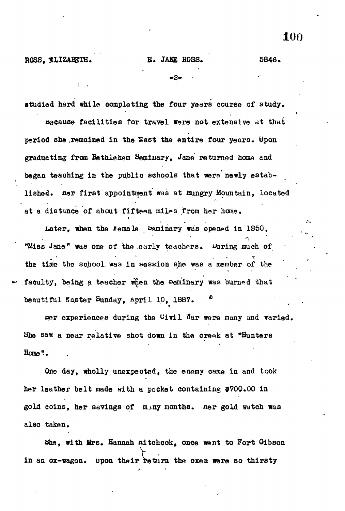ROSS, ELIZABETH. E. JANE ROSS. 5846.

- 2.

studied hard while completing the four years course of study.

Because facilities for travel were not extensive at that period she remained in the Nast the entire four years. Upon graduating from Bethlehem Seminary, Jane returned home and began teaching in the public schools that were newly established. ner first appointment was at hungry Mountain, located at a distance of about fifteen miles from her home.

.Later, when the female seminary was opened in 1S50, "Miss Jane" was one of the early teachers. Miring much of the time the school, was in session she was a member of the faculty, being a teacher when the Seminary was burned that beautiful Master Sunday, April 10, 1887.

aer experiences during the Uivll War were many and varied. She saw a near relative shot down in the creek at "Hunters Home".

One day, wholly unexpected, the enemy came in and took her leather belt made with a pocket containing 5700.00 in gold coins, her savings of many months, ner gold watch was also taken.

She, with Mrs. Hannah nitchcok, once went to Fort Gibson in an ox-wagon. upon their return the oxen were so thirsty